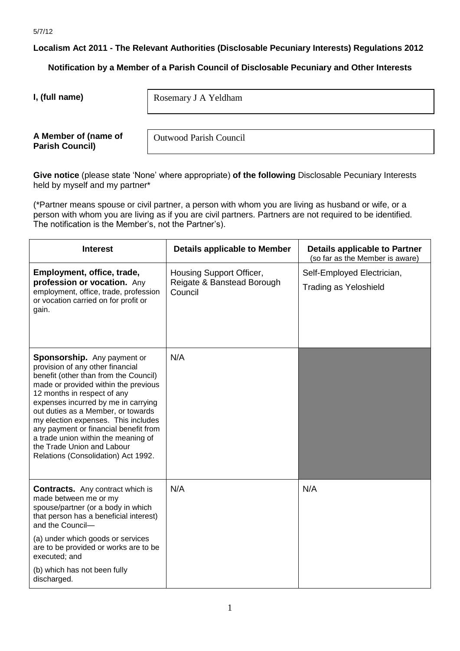**Localism Act 2011 - The Relevant Authorities (Disclosable Pecuniary Interests) Regulations 2012**

**Notification by a Member of a Parish Council of Disclosable Pecuniary and Other Interests**

**I, (full name)** 

Rosemary J A Yeldham

**A Member of (name of Parish Council)** 

Outwood Parish Council

**Give notice** (please state 'None' where appropriate) **of the following** Disclosable Pecuniary Interests held by myself and my partner\*

(\*Partner means spouse or civil partner, a person with whom you are living as husband or wife, or a person with whom you are living as if you are civil partners. Partners are not required to be identified. The notification is the Member's, not the Partner's).

| <b>Interest</b>                                                                                                                                                                                                                                                                                                                                                                                                                                          | <b>Details applicable to Member</b>                               | <b>Details applicable to Partner</b><br>(so far as the Member is aware) |
|----------------------------------------------------------------------------------------------------------------------------------------------------------------------------------------------------------------------------------------------------------------------------------------------------------------------------------------------------------------------------------------------------------------------------------------------------------|-------------------------------------------------------------------|-------------------------------------------------------------------------|
| Employment, office, trade,<br>profession or vocation. Any<br>employment, office, trade, profession<br>or vocation carried on for profit or<br>gain.                                                                                                                                                                                                                                                                                                      | Housing Support Officer,<br>Reigate & Banstead Borough<br>Council | Self-Employed Electrician,<br><b>Trading as Yeloshield</b>              |
| Sponsorship. Any payment or<br>provision of any other financial<br>benefit (other than from the Council)<br>made or provided within the previous<br>12 months in respect of any<br>expenses incurred by me in carrying<br>out duties as a Member, or towards<br>my election expenses. This includes<br>any payment or financial benefit from<br>a trade union within the meaning of<br>the Trade Union and Labour<br>Relations (Consolidation) Act 1992. | N/A                                                               |                                                                         |
| <b>Contracts.</b> Any contract which is<br>made between me or my<br>spouse/partner (or a body in which<br>that person has a beneficial interest)<br>and the Council-<br>(a) under which goods or services<br>are to be provided or works are to be<br>executed; and<br>(b) which has not been fully<br>discharged.                                                                                                                                       | N/A                                                               | N/A                                                                     |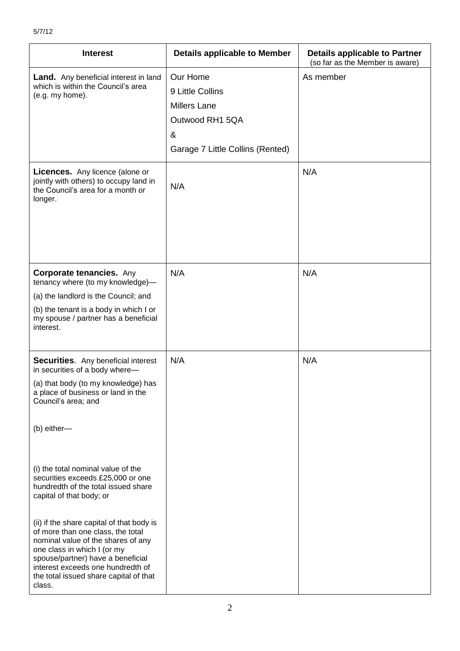| <b>Interest</b>                                                                                                                                                                                                                                                                   | <b>Details applicable to Member</b>                                                                             | <b>Details applicable to Partner</b><br>(so far as the Member is aware) |
|-----------------------------------------------------------------------------------------------------------------------------------------------------------------------------------------------------------------------------------------------------------------------------------|-----------------------------------------------------------------------------------------------------------------|-------------------------------------------------------------------------|
| <b>Land.</b> Any beneficial interest in land<br>which is within the Council's area<br>(e.g. my home).                                                                                                                                                                             | Our Home<br>9 Little Collins<br><b>Millers Lane</b><br>Outwood RH1 5QA<br>&<br>Garage 7 Little Collins (Rented) | As member                                                               |
| <b>Licences.</b> Any licence (alone or<br>jointly with others) to occupy land in<br>the Council's area for a month or<br>longer.                                                                                                                                                  | N/A                                                                                                             | N/A                                                                     |
| <b>Corporate tenancies.</b> Any<br>tenancy where (to my knowledge)-                                                                                                                                                                                                               | N/A                                                                                                             | N/A                                                                     |
| (a) the landlord is the Council; and                                                                                                                                                                                                                                              |                                                                                                                 |                                                                         |
| (b) the tenant is a body in which I or<br>my spouse / partner has a beneficial<br>interest.                                                                                                                                                                                       |                                                                                                                 |                                                                         |
| Securities. Any beneficial interest<br>in securities of a body where-                                                                                                                                                                                                             | N/A                                                                                                             | N/A                                                                     |
| (a) that body (to my knowledge) has<br>a place of business or land in the<br>Council's area; and                                                                                                                                                                                  |                                                                                                                 |                                                                         |
| (b) either-                                                                                                                                                                                                                                                                       |                                                                                                                 |                                                                         |
| (i) the total nominal value of the<br>securities exceeds £25,000 or one<br>hundredth of the total issued share<br>capital of that body; or                                                                                                                                        |                                                                                                                 |                                                                         |
| (ii) if the share capital of that body is<br>of more than one class, the total<br>nominal value of the shares of any<br>one class in which I (or my<br>spouse/partner) have a beneficial<br>interest exceeds one hundredth of<br>the total issued share capital of that<br>class. |                                                                                                                 |                                                                         |